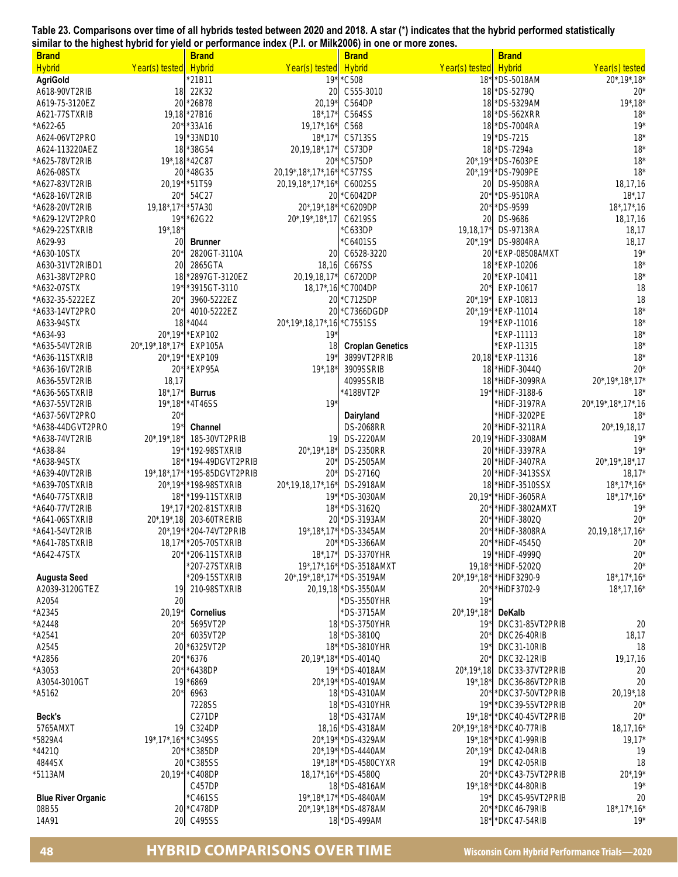## **Table 23. Comparisons over time of all hybrids tested between 2020 and 2018. A star (\*) indicates that the hybrid performed statistically similar to the highest hybrid for yield or performance index (P.I. or Milk2006) in one or more zones.**

| <b>Brand</b>                     |                          | <b>Brand</b>                   |                                 | <b>Brand</b>                 |                          | <b>Brand</b>                  |                                                      |
|----------------------------------|--------------------------|--------------------------------|---------------------------------|------------------------------|--------------------------|-------------------------------|------------------------------------------------------|
| <b>Hybrid</b>                    | Year(s) tested           | <b>Hybrid</b>                  | Year(s) tested                  | <b>Hybrid</b>                | Year(s) tested           | <b>Hybrid</b>                 | Year(s) tested                                       |
| <b>AgriGold</b>                  |                          | 21B11                          | $19*$                           | $^{\star}$ C508              | $18*$                    | *DS-5018AM                    | $20^*$ , 19 $*$ , 18 $*$                             |
| A618-90VT2RIB                    | 18                       | 22K32                          | 20                              | C555-3010                    |                          | 18 *DS-5279Q                  | $20*$                                                |
| A619-75-3120EZ                   | 20                       | *26B78                         | $20,19*$                        | C564DP                       | 18                       | *DS-5329AM                    | $19^*$ , $18^*$                                      |
| A621-77STXRIB                    |                          | 19,18 * 27B16                  | $18^*$ , $17^*$                 | C564SS                       | 18                       | *DS-562XRR                    | 18'                                                  |
| *A622-65                         | $20*$                    | *33A16                         | $19,17$ *, $16$ *               | C568                         | 18                       | *DS-7004RA                    | $19*$                                                |
| A624-06VT2PRO                    | 19                       | *33ND10                        | $18^*$ , $17'$                  | C5713SS                      | 19                       | *DS-7215                      | $18*$                                                |
| A624-113220AEZ                   | 18                       | *38G54                         | 20,19,18*,17*                   | C573DP                       | 18                       | *DS-7294a                     | $18*$                                                |
| *A625-78VT2RIB                   | $19*18$                  | *42C87                         | $20*$                           | *C575DP                      | $20^*$ , 19 $*$          | *DS-7603PE                    | 18'                                                  |
| A626-08STX                       | 20                       | *48G35                         | 20,19*,18*,17*,16*              | *C577SS                      | $20^*$ , 19*             | *DS-7909PE                    | $18*$                                                |
| *A627-83VT2RIB                   | 20,19                    | *51T59                         | 20, 19, 18*, 17*, 16*           | C6002SS                      | 20                       | <b>DS-9508RA</b>              | 18,17,16                                             |
| *A628-16VT2RIB                   | 20*                      | 54C27                          | 20                              | *C6042DP                     | $20*$                    | *DS-9510RA                    | $18^*$ , 17                                          |
| *A628-20VT2RIB                   | $19,18^*$ , 17           | 57A30                          | $20^*$ , 19 $*$ , 18 $*$        | *C6209DP                     | $20*$                    | *DS-9599                      | $18^*$ , $17^*$ , $16$                               |
| *A629-12VT2PRO                   | 19 <sup>′</sup>          | *62G22                         | $20^*$ , 19 $*$ , 18 $*$ , 17   | C6219SS                      | 20                       | DS-9686                       | 18,17,16                                             |
| A629-22STXRIB                    | $19^*$ , $18^*$          |                                |                                 | C633DP                       | 19,18,17*                | <b>DS-9713RA</b>              | 18,17                                                |
| A629-93                          | 20                       | <b>Brunner</b>                 |                                 | C6401SS                      | $20^*$ , 19*             | <b>DS-9804RA</b>              | 18,17                                                |
| *A630-10STX                      | $20^{\circ}$             | 2820GT-3110A                   | 20                              | C6528-3220                   | 20                       | *EXP-08508AMXT                | $19*$                                                |
| A630-31VT2RIBD1                  | 20                       | 2865GTA                        | 18,16                           | C667SS                       |                          | 18 * EXP-10206                | $18*$                                                |
| A631-38VT2PRO                    | 18                       | *2897GT-3120EZ                 | 20,19,18,17*                    | C6720DP                      | 20                       | *EXP-10411                    | $18*$                                                |
| *A632-07STX                      | 19 <sup>°</sup>          | '3915GT-3110                   |                                 | 18,17*,16 * C7004DP          | $20*$                    | EXP-10617                     | 18                                                   |
| *A632-35-5222EZ                  | 20'                      | 3960-5222EZ                    | 20                              | *C7125DP                     | $20^*$ , 19*             | EXP-10813                     | 18                                                   |
| *A633-14VT2PRO                   | $20^{\circ}$             | 4010-5222EZ                    | 20                              | *C7366DGDP                   | $20^*$ , 19*             | *EXP-11014                    | $18*$                                                |
| A633-94STX                       | 18                       | $*4044$                        | 20*, 19*, 18, 17*, 16           | *C7551SS                     | $19*$                    | *EXP-11016                    | $18*$                                                |
| *A634-93                         | $20^*$ , 19              | *EXP102                        | $19*$                           |                              |                          | *EXP-11113                    | $18*$                                                |
| *A635-54VT2RIB                   | 20*, 19*, 18*, 17*       | <b>EXP105A</b>                 | 18                              | <b>Croplan Genetics</b>      |                          | *EXP-11315                    | $18*$                                                |
| *A636-11STXRIB                   | $20^*$ , 19*             | *EXP109                        | $19*$                           | 3899VT2PRIB                  |                          | 20,18 * EXP-11316             | 18'                                                  |
| *A636-16VT2RIB                   | $20^{\circ}$             | *EXP95A                        | $19^*$ , $18^*$                 | 3909SSRIB                    |                          | 18 * HiDF-3044Q               | 20 <sup>3</sup>                                      |
| A636-55VT2RIB                    | 18,17                    |                                |                                 | 4099SSRIB                    | 18                       | *HiDF-3099RA                  | 20*, 19*, 18*, 17                                    |
| A636-56STXRIB*                   | $18^*$ , $17^*$          | <b>Burrus</b>                  |                                 | 4188VT2P                     | $19*$                    | *HiDF-3188-6                  | $18*$                                                |
| *A637-55VT2RIB                   | $19^*$ , $18^*$          | *4T46SS                        | $19*$                           |                              |                          | *HiDF-3197RA                  | 20*, 19*, 18*, 17*, 16                               |
| *A637-56VT2PRO                   | 20 <sup>3</sup>          |                                |                                 | Dairyland                    |                          | *HiDF-3202PE                  | 18'                                                  |
| *A638-44DGVT2PRO                 | 19 <sup>°</sup>          | Channel                        |                                 | <b>DS-2068RR</b>             | 20                       | *HiDF-3211RA                  | $20^*$ , 19, 18, 17                                  |
| *A638-74VT2RIB                   | $20^*$ , 19 $*$ , 18 $*$ | 185-30VT2PRIB                  | 19                              | <b>DS-2220AM</b>             |                          | 20,19 * HiDF-3308AM           | $19*$                                                |
| *A638-84                         | 19 <sup>′</sup>          | 192-98STXRIB                   | $20^*$ , 19 $*$ , 18 $*$        | <b>DS-2350RR</b>             | 20                       | *HiDF-3397RA                  | $19*$                                                |
| *A638-94STX                      | 18                       | 194-49DGVT2PRIB                | $20^{\circ}$<br>20 <sup>3</sup> | <b>DS-2505AM</b><br>DS-2716Q | 20                       | *HiDF-3407RA                  | 20*, 19*, 18*, 17                                    |
| *A639-40VT2RIB<br>*A639-70STXRIB | $19^*$ , $18^*$ , $17^*$ | *195-85DGVT2PRIB               |                                 | <b>DS-2918AM</b>             | 20<br>18                 | *HiDF-3413SSX                 | $18,17*$                                             |
| *A640-77STXRIB                   | $20^*$ , 19*<br>$18^*$   | *198-98STXRIB<br>*199-11STXRIB | 20*, 19, 18, 17*, 16*<br>$19*$  | *DS-3030AM                   | $20,19*$                 | *HiDF-3510SSX<br>*HiDF-3605RA | $18^*$ , $17^*$ , $16^*$<br>$18^*$ , $17^*$ , $16^*$ |
| *A640-77VT2RIB                   | $19^*$ , 17              | *202-81STXRIB                  | $18*$                           | *DS-3162Q                    | $20*$                    | *HIDF-3802AMXT                | $19*$                                                |
| *A641-06STXRIB                   | $20^*$ , 19 $*$ , 18     | 203-60TRERIB                   | 20                              | *DS-3193AM                   | $20*$                    | *HiDF-3802Q                   | $20*$                                                |
| *A641-54VT2RIB                   | $20^*$ , 19 $*$          | *204-74VT2PRIB                 |                                 | 19*,18*,17* * DS-3345AM      | $20*$                    | *HiDF-3808RA                  | 20,19,18*,17,16*                                     |
| *A641-78STXRIB                   |                          | 18,17* * 205-70STXRIB          |                                 | 20* * DS-3366AM              |                          | 20* HiDF-4545Q                | $20*$                                                |
| *A642-47STX                      | $20^*$                   | *206-11STXRIB                  | $18^*$ , $17^*$                 | <b>DS-3370YHR</b>            |                          | 19 * HiDF-4999Q               | $20*$                                                |
|                                  |                          | *207-27STXRIB                  |                                 | 19*,17*,16* *DS-3518AMXT     | $19,18*$                 | *HiDF-5202Q                   | $20*$                                                |
| <b>Augusta Seed</b>              |                          | 209-15STXRIB                   | 20*,19*,18*,17* *DS-3519AM      |                              | 20*,19*,18*              | *HiDF3290-9                   | $18^*$ , $17^*$ , $16^*$                             |
| A2039-3120GTEZ                   | 19                       | 210-98STXRIB                   |                                 | 20,19,18 *DS-3550AM          | $20*$                    | *HiDF3702-9                   | $18^*$ , 17, 16 $*$                                  |
| A2054                            | 20                       |                                |                                 | *DS-3550YHR                  | $19*$                    |                               |                                                      |
| *A2345                           | $20,19*$                 | <b>Cornelius</b>               |                                 | *DS-3715AM                   | $20^*$ , 19 $*$ , 18 $*$ | <b>DeKalb</b>                 |                                                      |
| *A2448                           | $20*$                    | 5695VT2P                       |                                 | 18 * DS-3750YHR              | $19*$                    | DKC31-85VT2PRIB               | 20                                                   |
| *A2541                           | $20*$                    | 6035VT2P                       |                                 | 18 *DS-3810Q                 | $20*$                    | DKC26-40RIB                   | 18,17                                                |
| A2545                            | 20                       | *6325VT2P                      | $18*$                           | *DS-3810YHR                  | $19*$                    | DKC31-10RIB                   | 18                                                   |
| *A2856                           | 20'                      | *6376                          |                                 | 20,19*,18* 1DS-4014Q         | $20*$                    | DKC32-12RIB                   | 19,17,16                                             |
| *A3053                           | $20^*$                   | *6438DP                        |                                 | 19* * DS-4018AM              | $20^*$ , 19 $*$ , 18     | DKC33-37VT2PRIB               | 20                                                   |
| A3054-3010GT                     | 19                       | 6869                           |                                 | 20*,19* * DS-4019AM          | $19^*$ , $18^*$          | DKC36-86VT2PRIB               | 20                                                   |
| *A5162                           | $20^*$                   | 6963                           |                                 | 18 * DS-4310AM               | $20*$                    | *DKC37-50VT2PRIB              | 20,19*,18                                            |
|                                  |                          | 7228SS                         |                                 | 18 * DS-4310YHR              | $19*$                    | *DKC39-55VT2PRIB              | $20*$                                                |
| Beck's                           |                          | C271DP                         |                                 | 18 * DS-4317AM               | $19^*$ , $18^*$          | *DKC40-45VT2PRIB              | $20*$                                                |
| 5765AMXT                         | 19                       | C324DP                         |                                 | 18,16 * DS-4318AM            | $20^*$ , 19 $*$ , 18 $*$ | *DKC40-77RIB                  | $18, 17, 16*$                                        |
| *5829A4                          | $19^*$ , $17^*$ , $16^*$ | *C349SS                        |                                 | 20*,19* * DS-4329AM          | $19^*$ , $18^*$          | *DKC41-99RIB                  | $19,17*$                                             |
| *4421Q                           | $20*$                    | *C385DP                        |                                 | 20*,19* * DS-4440AM          | $20^*$ , 19 $*$          | DKC42-04RIB                   | 19                                                   |
| 4844SX                           | 20                       | C385SS                         |                                 | 19*,18*  * DS-4580CYXR       | $19*$                    | DKC42-05RIB                   | 18                                                   |
| *5113AM                          | $20,19*$                 | *C408DP                        |                                 | 18,17*,16* * DS-4580Q        | $20^{\circ}$             | 'DKC43-75VT2PRIB              | $20^*$ , 19*                                         |
|                                  |                          | C457DP                         |                                 | 18 * DS-4816AM               | $19^*$ , $18^*$          | *DKC44-80RIB                  | $19*$                                                |
| <b>Blue River Organic</b>        |                          | C461SS                         |                                 | 19*,18*,17* *DS-4840AM       | $19*$                    | DKC45-95VT2PRIB               | 20                                                   |
| 08B55                            | 20                       | *C478DP                        |                                 | 20*,19*,18* *DS-4878AM       | $20*$                    | *DKC46-79RIB                  | $18^*$ , $17^*$ , $16^*$                             |
| 14A91                            | 20                       | C495SS                         |                                 | 18 * DS-499AM                | $18*$                    | *DKC47-54RIB                  | $19*$                                                |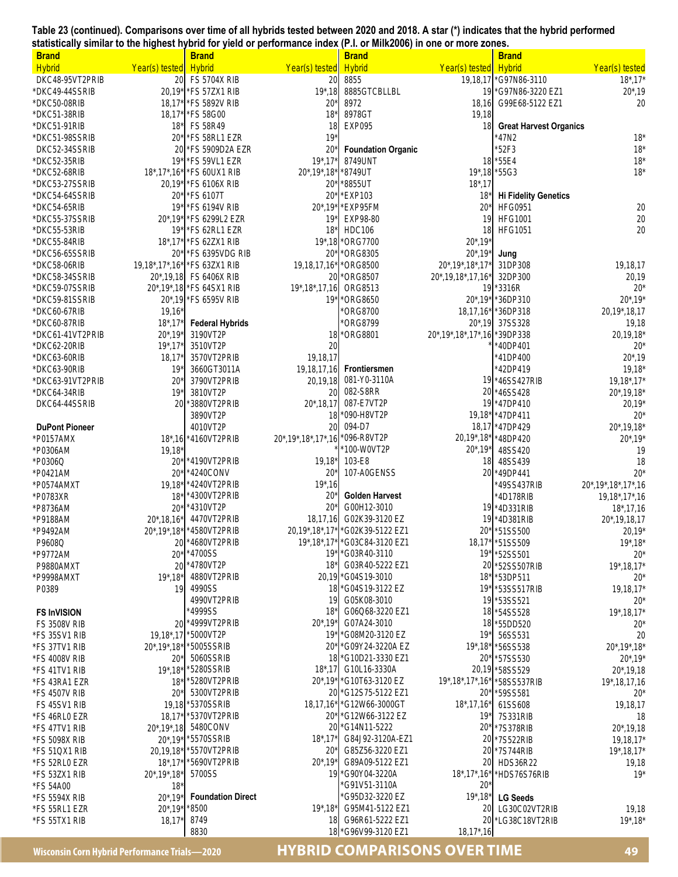**Table 23 (continued). Comparisons over time of all hybrids tested between 2020 and 2018. A star (\*) indicates that the hybrid performed statistically similar to the highest hybrid for yield or performance index (P.I. or Milk2006) in one or more zones.** 

| <b>Brand</b>                     |                                              | <b>Brand</b>                         |                          | <b>Brand</b>                         |                                 | <b>Brand</b>                     |                                 |
|----------------------------------|----------------------------------------------|--------------------------------------|--------------------------|--------------------------------------|---------------------------------|----------------------------------|---------------------------------|
| <b>Hybrid</b>                    | Year(s) tested                               | <b>Hybrid</b>                        | Year(s) tested           | <b>Hybrid</b>                        | Year(s) tested                  | <b>Hybrid</b>                    | Year(s) tested                  |
| DKC48-95VT2PRIB                  | 20                                           | <b>FS 5704X RIB</b>                  | 20                       | 8855                                 | 19.18.17                        | G97N86-3110                      | $18^*$ , $17^*$                 |
| *DKC49-44SSRIB                   |                                              | 20,19* FS 57ZX1 RIB                  | $19^*$ , 18              | 8885GTCBLLBL                         | 19                              | *G97N86-3220 EZ1                 | $20^*$ , 19                     |
| *DKC50-08RIB                     |                                              | 18,17* FS 5892V RIB                  | $20*$                    | 8972                                 | 18,16                           | G99E68-5122 EZ1                  | 20                              |
| *DKC51-38RIB                     |                                              | 18.17* * FS 58G00                    | $18*$                    | 8978GT                               | 19,18                           |                                  |                                 |
| *DKC51-91RIB                     | $18^*$                                       | <b>FS 58R49</b>                      | 18                       | <b>EXP095</b>                        | 18                              | <b>Great Harvest Organics</b>    |                                 |
| *DKC51-98SSRIB                   | $20^{\circ}$                                 | *FS 58RL1 EZR                        | $19*$                    |                                      |                                 | 47N2                             | $18*$                           |
| DKC52-34SSRIB                    | 20                                           | *FS 5909D2A EZR                      | $20*$                    | <b>Foundation Organic</b>            |                                 | *52F3                            | $18*$                           |
| *DKC52-35RIB                     | 19 <sup>°</sup>                              | *FS 59VL1 EZR                        | $19^*$ , $17^*$          | 8749UNT                              |                                 | 18 * 55E4                        | $18*$                           |
| *DKC52-68RIB                     | $18^*$ , $17^*$ , $16^*$                     | *FS 60UX1 RIB                        | $20^*$ , 19 $*$ , 18 $*$ | *8749UT                              | $19^*$ , 18                     | *55G3                            | $18*$                           |
| *DKC53-27SSRIB<br>*DKC54-64SSRIB | $20^*$                                       | 20,19* FS 6106X RIB<br>*FS 6107T     | $20*$<br>$20*$           | *8855UT<br>*EXP103                   | $18^*$ , 17<br>$18*$            | <b>Hi Fidelity Genetics</b>      |                                 |
| *DKC54-65RIB                     | 19 <sup>′</sup>                              | *FS 6194V RIB                        | $20^*$ , 19 $*$          | *EXP95FM                             | $20*$                           | <b>HFG0951</b>                   | 20                              |
| *DKC55-37SSRIB                   | $20^*$ , 19 $^*$                             | *FS 6299L2 EZR                       | $19*$                    | EXP98-80                             | 19                              | <b>HFG1001</b>                   | 20                              |
| *DKC55-53RIB                     |                                              | 19* * FS 62RL1 EZR                   | $18*$                    | <b>HDC106</b>                        | 18                              | <b>HFG1051</b>                   | 20                              |
| *DKC55-84RIB                     |                                              | 18*,17* * FS 62ZX1 RIB               | $19^*$ , 18              | *ORG7700                             | $20^*$ , 19*                    |                                  |                                 |
| *DKC56-65SSRIB                   | $20^{\circ}$                                 | *FS 6395VDG RIB                      | $20*$                    | *ORG8305                             | $20^*$ , 19 $*$                 | Jung                             |                                 |
| *DKC58-06RIB                     |                                              | 19,18*,17*,16* * FS 63ZX1 RIB        | 19,18,17,16*             | *ORG8500                             | 20*, 19*, 18*, 17*              | 31DP308                          | 19,18,17                        |
| *DKC58-34SSRIB                   |                                              | 20*,19,18 FS 6406X RIB               | 20                       | *ORG8507                             | 20*,19,18*,17,16*               | 32DP300                          | 20,19                           |
| *DKC59-07SSRIB                   |                                              | 20*,19*,18 * FS 64SX1 RIB            | 19*, 18*, 17, 16         | ORG8513                              |                                 | 19 * 3316R                       | $20*$                           |
| *DKC59-81SSRIB                   |                                              | 20*,19 * FS 6595V RIB                | $19*$                    | *ORG8650                             | $20^*$ , 19 $*$                 | *36DP310                         | $20^*$ , 19*                    |
| *DKC60-67RIB                     | $19,16*$                                     |                                      |                          | *ORG8700                             | $18,17,16*$                     | *36DP318                         | 20,19*,18,17                    |
| *DKC60-87RIB                     | $18^*$ , 17                                  | <b>Federal Hybrids</b>               |                          | *ORG8799                             | $20^*$ , 19                     | 37SS328                          | 19,18                           |
| *DKC61-41VT2PRIB                 | 20*,19*                                      | 3190VT2P                             |                          | 18 * ORG8801                         | 20*, 19*, 18*, 17*, 16          | *39DP338                         | 20,19,18*                       |
| *DKC62-20RIB                     | $19^*$ , $17^*$                              | 3510VT2P                             | 20                       |                                      |                                 | 40DP401                          | $20*$                           |
| *DKC63-60RIB                     | 18,17                                        | 3570VT2PRIB                          | 19,18,17                 | Frontiersmen                         |                                 | 41DP400                          | $20^*$ , 19                     |
| *DKC63-90RIB<br>*DKC63-91VT2PRIB | 19 <sup>°</sup><br>$20^{\circ}$              | 3660GT3011A<br>3790VT2PRIB           | 19,18,17,16<br>20,19,18  | 081-Y0-3110A                         |                                 | *42DP419<br>19 * 46SS427RIB      | $19,18*$<br>$19,18^*$ , 17 $*$  |
| *DKC64-34RIB                     | 19 <sup>°</sup>                              | 3810VT2P                             | 20                       | 082-S8RR                             | 20                              | *46SS428                         | $20^*$ , 19, 18 $*$             |
| DKC64-44SSRIB                    | 20                                           | 3880VT2PRIB                          | $20^*$ , 18, 17          | 087-E7VT2P                           | 19                              | *47DP410                         | 20,19*                          |
|                                  |                                              | 3890VT2P                             | 18                       | *090-H8VT2P                          | $19,18*$                        | *47DP411                         | $20*$                           |
| <b>DuPont Pioneer</b>            |                                              | 4010VT2P                             | 20                       | 094-D7                               |                                 | 18,17 * 47DP429                  | $20^*$ , 19, 18*                |
| *P0157AMX                        | $18^*$ , 16                                  | *4160VT2PRIB                         | 20*, 19*, 18*, 17*, 16   | *096-R8VT2P                          | 20,19*,18*                      | *48DP420                         | $20^*$ , 19*                    |
| *P0306AM                         | 19,18'                                       |                                      |                          | *100-W0VT2P                          | $20^*$ , 19 $*$                 | 48SS420                          | 19                              |
| *P0306Q                          | $20^{\circ}$                                 | *4190VT2PRIB                         | $19,18*$                 | 103-E8                               | 18                              | 48SS439                          | 18                              |
| *P0421AM                         | $20^{\circ}$                                 | *4240CONV                            | 20 <sup>3</sup>          | 107-A0GENSS                          |                                 | 20 *49DP441                      | $20*$                           |
| *P0574AMXT                       | 19,18                                        | *4240VT2PRIB                         | $19^*$ , 16              |                                      |                                 | 49SS437RIB                       | 20*, 19*, 18*, 17*, 16          |
| *P0783XR                         | $18^{\circ}$                                 | *4300VT2PRIB<br>*4310VT2P            | 20 <sup>3</sup><br>$20*$ | <b>Golden Harvest</b><br>G00H12-3010 |                                 | AD178RIB                         | $19,18^{\ast},17^{\ast},16$     |
| *P8736AM<br>*P9188AM             | $20^{\circ}$                                 | 4470VT2PRIB                          | 18,17,16                 | G02K39-3120 EZ                       |                                 | 19 * 4D331RIB<br>19 * 4D381RIB   | $18^*$ , 17, 16<br>20*,19,18,17 |
| *P9492AM                         | $20^*$ , 18, 16*<br>$20^*$ , 19 $*$ , 18 $*$ | *4580VT2PRIB                         | 20,19*,18*,17*           | *G02K39-5122 EZ1                     | $20^*$                          | *51SS500                         | 20,19*                          |
| P9608Q                           |                                              | 20 * 4680VT2PRIB                     |                          | 19*,18*,17* * G03C84-3120 EZ1        |                                 | 18,17* * 51SS509                 | $19^*$ , $18^*$                 |
| *P9772AM                         |                                              | 20* * 4700SS                         |                          | 19* * G03R40-3110                    |                                 | 19* * 52SS501                    | $20*$                           |
| P9880AMXT                        | 20                                           | *4780VT2P                            | $18*$                    | G03R40-5222 EZ1                      | 20                              | *52SS507RIB                      | $19^*$ , 18, 17*                |
| *P9998AMXT                       | $19^*$ , $18^*$                              | 4880VT2PRIB                          |                          | 20,19 * G04S19-3010                  | $18*$                           | *53DP511                         | $20*$                           |
| P0389                            | 19                                           | 4990SS                               | 18 <sup>°</sup>          | *G04S19-3122 EZ                      | $19*$                           | *53SS517RIB                      | $19, 18, 17*$                   |
|                                  |                                              | 4990VT2PRIB                          | 19                       | G05K08-3010                          |                                 | 19 * 53SS521                     | $20*$                           |
| <b>FS InVISION</b>               |                                              | 1999SS <sup>'</sup>                  | $18^*$                   | G06Q68-3220 EZ1                      | 18                              | *54SS528                         | $19^*$ , 18, 17*                |
| <b>FS 3508V RIB</b>              | 20                                           | *4999VT2PRIB                         | $20^*$ , 19 $*$          | G07A24-3010                          | 18                              | *55DD520                         | $20*$                           |
| *FS 35SV1 RIB                    | 19,18*,17                                    | *5000VT2P                            | $19*$                    | *G08M20-3120 EZ                      | $19*$                           | 56SS531                          | 20                              |
| *FS 37TV1 RIB<br>*FS 4008V RIB   | $20^*$                                       | 20*,19*,18* * 5005SSRIB<br>5060SSRIB | $20^*$<br>18             | *G09Y24-3220A EZ<br>*G10D21-3330 EZ1 | $19^*$ , $18^*$<br>$20*$        | *56SS538<br>*57SS530             | 20*, 19*, 18*<br>$20^*$ , 19*   |
| *FS 41TV1 RIB                    | $19^*$ , $18^*$                              | *5280SSRIB                           | $18^*$ , 17              | G10L16-3330A                         | 20,19                           | *58SS529                         | $20^*$ , 19, 18                 |
| *FS 43RA1 EZR                    | $18^{\circ}$                                 | *5280VT2PRIB                         | $20^*$ , 19 $*$          | *G10T63-3120 EZ                      | 19*, 18*, 17*, 16*              | *58SS537RIB                      | 19*, 18, 17, 16                 |
| *FS 4507V RIB                    | $20*$                                        | 5300VT2PRIB                          | 20                       | *G12S75-5122 EZ1                     | $20*$                           | *59SS581                         | $20*$                           |
| FS 45SV1 RIB                     | 19,18                                        | *5370SSRIB                           | $18, 17, 16*$            | *G12W66-3000GT                       | $18^*$ , 17, 16 $*$             | 61SS608                          | 19,18,17                        |
| *FS 46RL0 EZR                    | 18,17'                                       | *5370VT2PRIB                         | $20^*$                   | *G12W66-3122 EZ                      | $19*$                           | 7S331RIB                         | 18                              |
| *FS 47TV1 RIB                    | $20^*$ , 19 $*$ , 18                         | 5480CONV                             |                          | 20 * G14N11-5222                     | $20^*$                          | *7S378RIB                        | $20^*$ , 19, 18                 |
| *FS 5098X RIB                    |                                              | 20*,19* * 5570SSRIB                  | $18^*$ , $17^*$          | G84J92-3120A-EZ1                     | 20                              | *7S522RIB                        | 19,18,17*                       |
| *FS 51QX1 RIB                    | 20,19,18*                                    | *5570VT2PRIB                         | $20^*$                   | G85Z56-3220 EZ1                      | 20                              | *7S744RIB                        | $19^*$ , 18, 17 $^*$            |
| *FS 52RL0 EZR                    | $18^*$ , $17^*$                              | *5690VT2PRIB                         | $20^*$ , 19 $*$          | G89A09-5122 EZ1                      | 20                              | HDS36R22                         | 19,18                           |
| *FS 53ZX1 RIB                    | $20^*$ , 19 $*$ , 18 $*$                     | 5700SS                               |                          | 19 * G90Y04-3220A                    | $18^*$ , $17^*$ , $16^*$        | *HDS76S76RIB                     | $19*$                           |
| *FS 54A00                        | $18^{\circ}$                                 | <b>Foundation Direct</b>             |                          | 'G91V51-3110A<br>G95D32-3220 EZ      | $20^{\circ}$<br>$19^*$ , $18^*$ |                                  |                                 |
| *FS 5594X RIB<br>*FS 55RL1 EZR   | $20^*$ , 19°<br>$20^*$ , 19*                 | * 8500                               | $19^*$ , $18^*$          | G95M41-5122 EZ1                      | 20                              | <b>LG Seeds</b><br>LG30C02VT2RIB | 19,18                           |
| *FS 55TX1 RIB                    | $18,17*$                                     | 8749                                 |                          | 18 G96R61-5222 EZ1                   | 20                              | *LG38C18VT2RIB                   | $19^*$ , $18^*$                 |
|                                  |                                              | 8830                                 |                          | 18 * G96V99-3120 EZ1                 | $18,17$ *, 16                   |                                  |                                 |

**48 HYBRID COMPARISONS OVER TIME Wisconsin Corn Hybrid Performance Trials—2020 Wisconsin Corn Hybrid Performance Trials—2020 HYBRID COMPARISONS OVER TIME 49**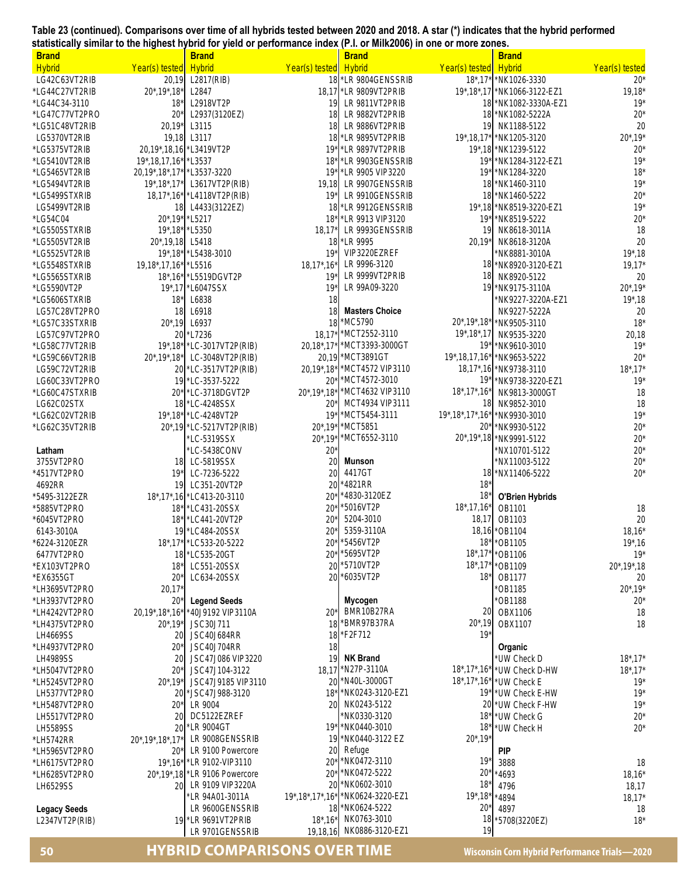**Table 23 (continued). Comparisons over time of all hybrids tested between 2020 and 2018. A star (\*) indicates that the hybrid performed statistically similar to the highest hybrid for yield or performance index (P.I. or Milk2006) in one or more zones.** 

| <b>Brand</b>                  |                                  | <b>Brand</b>                  |                                   | <b>Brand</b>                         |                          | <b>Brand</b>                     |                      |
|-------------------------------|----------------------------------|-------------------------------|-----------------------------------|--------------------------------------|--------------------------|----------------------------------|----------------------|
| <b>Hybrid</b>                 | Year(s) tested                   | <b>Hybrid</b>                 | Year(s) tested                    | <b>Hybrid</b>                        | Year(s) tested           | <b>Hybrid</b>                    | Year(s) tested       |
| LG42C63VT2RIB                 | 20,19                            | L2817(RIB)                    | 18                                | *LR 9804GENSSRIB                     | $18^*$ , $17^*$          | *NK1026-3330                     | $20*$                |
| *LG44C27VT2RIB                | $20^*$ , 19 $*$ , 18 $*$         | L2847                         |                                   | 18,17 * LR 9809 VT2 PRIB             |                          | 19*,18*,17 * NK1066-3122-EZ1     | $19,18*$             |
| *LG44C34-3110                 | $18*$                            | L2918VT2P                     | 19                                | LR 9811VT2PRIB                       | 18                       | *NK1082-3330A-EZ1                | $19*$                |
| *LG47C77VT2PRO                | $20^{\circ}$                     | L2937(3120EZ)                 | 18                                | LR 9882VT2PRIB                       | 18                       | *NK1082-5222A                    | $20*$                |
| *LG51C48VT2RIB                | $20,19*$                         | L3115                         | 18                                | LR 9886VT2PRIB                       | 19                       | NK1188-5122                      | 20                   |
| LG5370VT2RIB                  | 19,18                            | L3117                         | 18                                | *LR 9895VT2PRIB                      | $19^*$ , 18, 17*         | *NK1205-3120                     | $20^*$ , 19*         |
| *LG5375VT2RIB                 | 20,19*,18,16 *L3419VT2P          |                               | $19*$                             | LR 9897VT2PRIB*                      | $19^*$ , 18              | *NK1239-5122                     | $20*$                |
| *LG5410VT2RIB                 | 19*, 18, 17, 16* * L3537         |                               | $18*$                             | *LR 9903GENSSRIB                     | $19*$                    | *NK1284-3122-EZ1                 | $19*$                |
| *LG5465VT2RIB                 | 20,19*,18*,17*                   | *L3537-3220                   | $19*$                             | *LR 9905 VIP3220                     | $19*$                    | *NK1284-3220                     | $18*$                |
| *LG5494VT2RIB                 | $19^*$ , $18^*$ , $17^*$         | L3617VT2P(RIB)                | 19,18                             | LR 9907GENSSRIB                      | 18                       | *NK1460-3110                     | $19*$                |
| *LG5499STXRIB                 | $18,17^*$ , $16^*$               | *L4118VT2P(RIB)               | $19*$                             | LR 9910GENSSRIB                      | 18                       | *NK1460-5222                     | $20*$                |
| LG5499VT2RIB<br>*LG54C04      | 18                               | L4433(3122EZ)                 | 18<br>$18*$                       | *LR 9912GENSSRIB<br>*LR 9913 VIP3120 | $19*$ , 18<br>$19*$      | *NK8519-3220-EZ1<br>*NK8519-5222 | $19*$<br>$20*$       |
| *LG5505STXRIB                 | 20*,19* *L5217<br>19*,18* *L5350 |                               | $18,17*$                          | LR 9993GENSSRIB                      | 19                       | NK8618-3011A                     | 18                   |
| *LG5505VT2RIB                 | 20*,19,18 L5418                  |                               |                                   | 18 *LR 9995                          | $20,19*$                 | NK8618-3120A                     | 20                   |
| *LG5525VT2RIB                 |                                  | 19*,18* L5438-3010            | $19*$                             | VIP3220EZREF                         |                          | NK8881-3010A                     | $19^*$ , 18          |
| *LG5548STXRIB                 | 19,18*,17,16* L5516              |                               | $18,17^*$ , $16^*$                | LR 9996-3120                         |                          | 18 * NK8920-3120-EZ1             | $19,17*$             |
| *LG5565STXRIB                 |                                  | 18*,16* *L5519DGVT2P          | $19*$                             | LR 9999VT2PRIB                       | 18                       | NK8920-5122                      | 20                   |
| *LG5590VT2P                   |                                  | 19*,17 *L6047SSX              | $19*$                             | LR 99A09-3220                        | 19                       | *NK9175-3110A                    | $20^*$ , 19*         |
| *LG5606STXRIB                 | $18*$                            | L6838                         | 18                                |                                      |                          | NK9227-3220A-EZ1                 | $19^*$ , 18          |
| LG57C28VT2PRO                 | 18                               | L6918                         | 18                                | <b>Masters Choice</b>                |                          | NK9227-5222A                     | 20                   |
| *LG57C33STXRIB                | $20^*$ , 19                      | L6937                         | 18                                | *MC5790                              | $20^*$ , 19 $*$ , 18 $*$ | *NK9505-3110                     | $18*$                |
| LG57C97VT2PRO                 | 20                               | *L7236                        | $18,17*$                          | *MCT2552-3110                        | $19^*$ , $18^*$ , $17$   | NK9535-3220                      | 20,18                |
| *LG58C77VT2RIB                | $19^*$ , $18^*$                  | *LC-3017VT2P(RIB)             | $20,18^*$ , 17*                   | *MCT3393-3000GT                      | $19*$                    | *NK9610-3010                     | $19*$                |
| *LG59C66VT2RIB                | $20^*$ , 19 $*$ , 18 $*$         | LC-3048VT2P(RIB)              |                                   | 20,19 MCT3891GT                      | 19*, 18, 17, 16*         | *NK9653-5222                     | $20*$                |
| LG59C72VT2RIB                 |                                  | 20 *LC-3517VT2P(RIB)          | 20,19*,18*                        | *MCT4572 VIP3110                     | $18,17^*$ , 16           | *NK9738-3110                     | $18^*$ , $17^*$      |
| LG60C33VT2PRO                 |                                  | 19 *LC-3537-5222              | $20*$                             | *MCT4572-3010                        | 19'                      | NK9738-3220-EZ1                  | $19*$                |
| *LG60C47STXRIB                | 20*                              | *LC-3718DGVT2P                | 20*, 19*, 18*                     | *MCT4632 VIP3110                     | $18^*$ , $17^*$ , $16^*$ | NK9813-3000GT                    | 18                   |
| LG62C02STX                    |                                  | 18 *LC-4248SSX                | $20*$                             | MCT4934 VIP3111                      | 18                       | NK9852-3010                      | 18                   |
| *LG62C02VT2RIB                |                                  | 19*,18* LC-4248VT2P           | $19*$                             | *MCT5454-3111                        | 19*, 18*, 17*, 16*       | NK9930-3010                      | $19*$                |
| *LG62C35VT2RIB                |                                  | 20*,19 *LC-5217VT2P(RIB)      | $20^*$ , 19*                      | *MCT5851                             | 20*                      | NK9930-5122                      | $20*$                |
|                               |                                  | LC-5319SSX                    | $20^*$ , 19*                      | *MCT6552-3110                        |                          | 20*,19*,18 *NK9991-5122          | $20*$                |
| Latham                        |                                  | LC-5438CONV                   | $20*$                             |                                      |                          | NX10701-5122                     | $20*$                |
| 3755VT2PRO<br>*4517VT2PRO     | 18<br>$19*$                      | LC-5819SSX                    | 20<br>20                          | Munson<br>4417GT                     | 18                       | NX11003-5122<br>*NX11406-5222    | $20*$<br>$20*$       |
| 4692RR                        | 19                               | LC-7236-5222<br>LC351-20VT2P  | 20                                | *4821RR                              | $18*$                    |                                  |                      |
| *5495-3122EZR                 |                                  | 18*, 17*, 16 *LC413-20-3110   | $20^{\circ}$                      | *4830-3120EZ                         | 18'                      | <b>O'Brien Hybrids</b>           |                      |
| *5885VT2PRO                   | $18*$                            | LC431-20SSX                   | $20^{\circ}$                      | *5016VT2P                            | $18^*$ , 17, 16 $*$      | OB1101                           | 18                   |
| *6045VT2PRO                   | $18*$                            | *LC441-20VT2P                 | $20*$                             | 5204-3010                            | 18,17                    | OB1103                           | 20                   |
| 6143-3010A                    |                                  | 19 *LC484-20SSX               | $20*$                             | 5359-3110A                           |                          | 18,16 * OB1104                   | $18,16*$             |
| *6224-3120EZR                 |                                  | 18*,17* *LC533-20-5222        |                                   | 20* * 5456VT2P                       |                          | 18* * OB1105                     | $19^*$ , 16          |
| 6477VT2PRO                    |                                  | 18 *LC535-20GT                | $20*$                             | *5695VT2P                            | $18^*$ , $17^*$          | *OB1106                          | $19*$                |
| *EX103VT2PRO                  | $18*$                            | LC551-20SSX                   | 20                                | *5710VT2P                            | $18^*$ , $17^*$          | *OB1109                          | $20^*$ , 19 $*$ , 18 |
| *EX6355GT                     | $20*$                            | LC634-20SSX                   |                                   | 20 *6035VT2P                         | $18*$                    | OB1177                           | 20                   |
| *LH3695VT2PRO                 | $20,17*$                         |                               |                                   |                                      |                          | *OB1185                          | $20^*$ , 19 $*$      |
| *LH3937VT2PRO                 | $20^*$                           | <b>Legend Seeds</b>           |                                   | Mycogen                              |                          | *OB1188                          | $20*$                |
| *LH4242VT2PRO                 | 20,19*,18*,16*                   | *40J9192 VIP3110A             | $20*$                             | BMR10B27RA                           | 20                       | OBX1106                          | 18                   |
| *LH4375VT2PRO                 | $20^*$ , 19 $*$                  | JSC30J711                     |                                   | 18 * BMR97B37RA                      | $20^*$ , 19              | OBX1107                          | 18                   |
| LH4669SS                      | 20                               | <b>JSC40J684RR</b>            | 18                                | *F2F712                              | $19*$                    |                                  |                      |
| *LH4937VT2PRO                 | $20^{\circ}$                     | <b>JSC40J704RR</b>            | 18                                |                                      |                          | Organic                          |                      |
| <b>LH4989SS</b>               | 20                               | JSC47J086 VIP3220             | 19                                | <b>NK Brand</b>                      |                          | UW Check D                       | $18^*$ , $17^*$      |
| *LH5047VT2PRO                 | $20*$                            | JSC47J104-3122                |                                   | 18,17 N27P-3110A                     | $18^*$ , $17^*$ , $16^*$ | *UW Check D-HW                   | $18^*$ , $17^*$      |
| *LH5245VT2PRO                 | $20^*$ , 19 $*$                  | JSC47J9185 VIP3110            | 20                                | *N40L-3000GT<br>*NK0243-3120-EZ1     | $18^*$ , $17^*$ , $16^*$ | *UW Check E                      | $19*$                |
| LH5377VT2PRO                  | 20<br>$20*$                      | *JSC47J988-3120<br>LR 9004    | $18*$<br>20                       | NK0243-5122                          | $19*$<br>20              | *UW Check E-HW                   | $19*$<br>$19*$       |
| *LH5487VT2PRO<br>LH5517VT2PRO | 20                               | DC5122EZREF                   |                                   | NK0330-3120                          | $18*$                    | *UW Check F-HW<br>UW Check G     | $20*$                |
| <b>LH5589SS</b>               | 20                               | LR 9004GT                     | $19*$                             | *NK0440-3010                         | $18*$                    | 'UW Check H                      | $20*$                |
| *LH5742RR                     | 20*, 19*, 18*, 17                | LR 9008GENSSRIB               | 19                                | *NK0440-3122 EZ                      | $20^*$ , 19 $*$          |                                  |                      |
| *LH5965VT2PRO                 | $20^*$                           | LR 9100 Powercore             | 20                                | Refuge                               |                          | <b>PIP</b>                       |                      |
| *LH6175VT2PRO                 |                                  | 19*,16* *LR 9102-VIP3110      | $20*$                             | *NK0472-3110                         | 19'                      | 3888                             | 18                   |
| *LH6285VT2PRO                 |                                  | 20*,19*,18 *LR 9106 Powercore | $20*$                             | *NK0472-5222                         | $20^{\circ}$             | 4693                             | $18,16*$             |
| LH6529SS                      | 20                               | LR 9109 VIP3220A              | 20                                | *NK0602-3010                         | $18*$                    | 4796                             | 18,17                |
|                               |                                  | LR 94A01-3011A                | $19^*$ , $18^*$ , $17^*$ , $16^*$ | *NK0624-3220-EZ1                     | $19^*$ , $18^*$          | *4894                            | $18,17*$             |
| <b>Legacy Seeds</b>           |                                  | LR 9600GENSSRIB               |                                   | 18 *NK0624-5222                      | $20*$                    | 4897                             | 18                   |
| L2347VT2P(RIB)                |                                  | 19 * LR 9691VT2PRIB           | $18^*$ , $16^*$                   | NK0763-3010                          | 18                       | 5708(3220EZ)                     | $18*$                |
|                               |                                  | LR 9701GENSSRIB               | 19,18,16                          | NK0886-3120-EZ1                      | 19                       |                                  |                      |

## **50 HYBRID COMPARISONS OVER TIME Wisconsin Corn Hybrid Performance Trials—2020**  LR 9701GENSSRIB 19,18,16